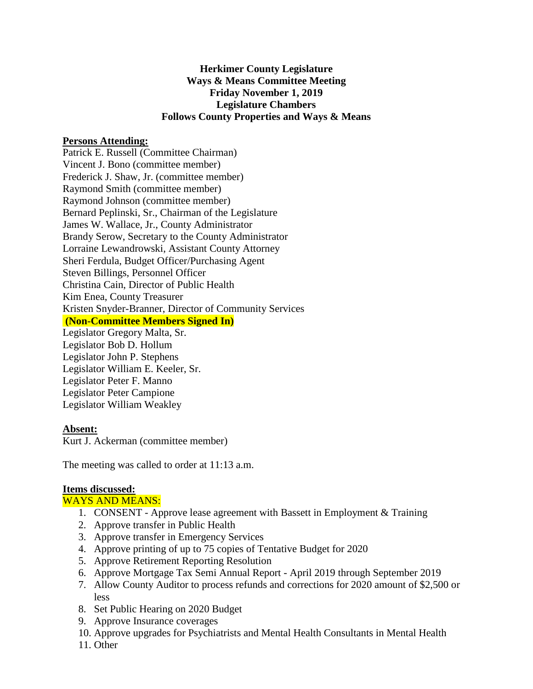# **Herkimer County Legislature Ways & Means Committee Meeting Friday November 1, 2019 Legislature Chambers Follows County Properties and Ways & Means**

### **Persons Attending:**

Patrick E. Russell (Committee Chairman) Vincent J. Bono (committee member) Frederick J. Shaw, Jr. (committee member) Raymond Smith (committee member) Raymond Johnson (committee member) Bernard Peplinski, Sr., Chairman of the Legislature James W. Wallace, Jr., County Administrator Brandy Serow, Secretary to the County Administrator Lorraine Lewandrowski, Assistant County Attorney Sheri Ferdula, Budget Officer/Purchasing Agent Steven Billings, Personnel Officer Christina Cain, Director of Public Health Kim Enea, County Treasurer Kristen Snyder-Branner, Director of Community Services **(Non-Committee Members Signed In)** Legislator Gregory Malta, Sr. Legislator Bob D. Hollum Legislator John P. Stephens Legislator William E. Keeler, Sr. Legislator Peter F. Manno

Legislator Peter Campione Legislator William Weakley

#### **Absent:**

Kurt J. Ackerman (committee member)

The meeting was called to order at 11:13 a.m.

### **Items discussed:**

#### WAYS AND MEANS:

- 1. CONSENT Approve lease agreement with Bassett in Employment & Training
- 2. Approve transfer in Public Health
- 3. Approve transfer in Emergency Services
- 4. Approve printing of up to 75 copies of Tentative Budget for 2020
- 5. Approve Retirement Reporting Resolution
- 6. Approve Mortgage Tax Semi Annual Report April 2019 through September 2019
- 7. Allow County Auditor to process refunds and corrections for 2020 amount of \$2,500 or less
- 8. Set Public Hearing on 2020 Budget
- 9. Approve Insurance coverages
- 10. Approve upgrades for Psychiatrists and Mental Health Consultants in Mental Health
- 11. Other